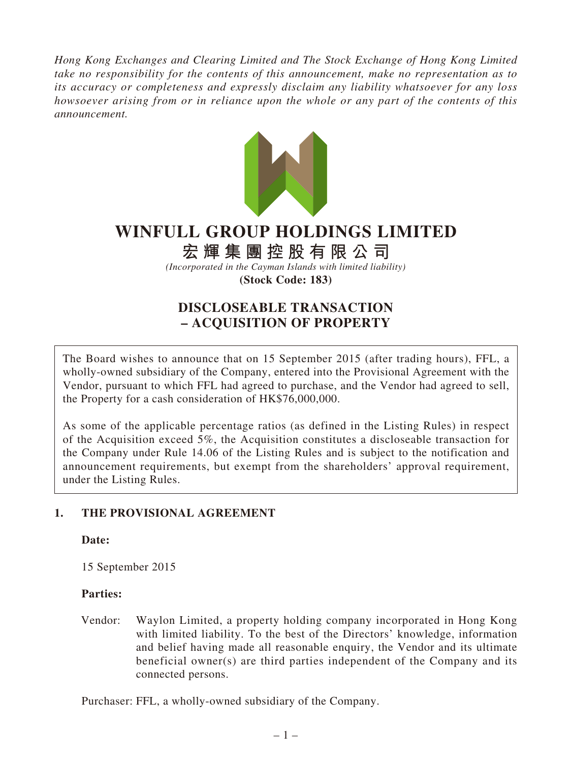*Hong Kong Exchanges and Clearing Limited and The Stock Exchange of Hong Kong Limited take no responsibility for the contents of this announcement, make no representation as to its accuracy or completeness and expressly disclaim any liability whatsoever for any loss howsoever arising from or in reliance upon the whole or any part of the contents of this announcement.*



# **WINFULL GROUP HOLDINGS LIMITED**

# **宏輝集團控股有限公司**

*(Incorporated in the Cayman Islands with limited liability)* **(Stock Code: 183)**

# **DISCLOSEABLE TRANSACTION – ACQUISITION OF PROPERTY**

The Board wishes to announce that on 15 September 2015 (after trading hours), FFL, a wholly-owned subsidiary of the Company, entered into the Provisional Agreement with the Vendor, pursuant to which FFL had agreed to purchase, and the Vendor had agreed to sell, the Property for a cash consideration of HK\$76,000,000.

As some of the applicable percentage ratios (as defined in the Listing Rules) in respect of the Acquisition exceed 5%, the Acquisition constitutes a discloseable transaction for the Company under Rule 14.06 of the Listing Rules and is subject to the notification and announcement requirements, but exempt from the shareholders' approval requirement, under the Listing Rules.

# **1. THE PROVISIONAL AGREEMENT**

# **Date:**

15 September 2015

# **Parties:**

Vendor: Waylon Limited, a property holding company incorporated in Hong Kong with limited liability. To the best of the Directors' knowledge, information and belief having made all reasonable enquiry, the Vendor and its ultimate beneficial owner(s) are third parties independent of the Company and its connected persons.

Purchaser: FFL, a wholly-owned subsidiary of the Company.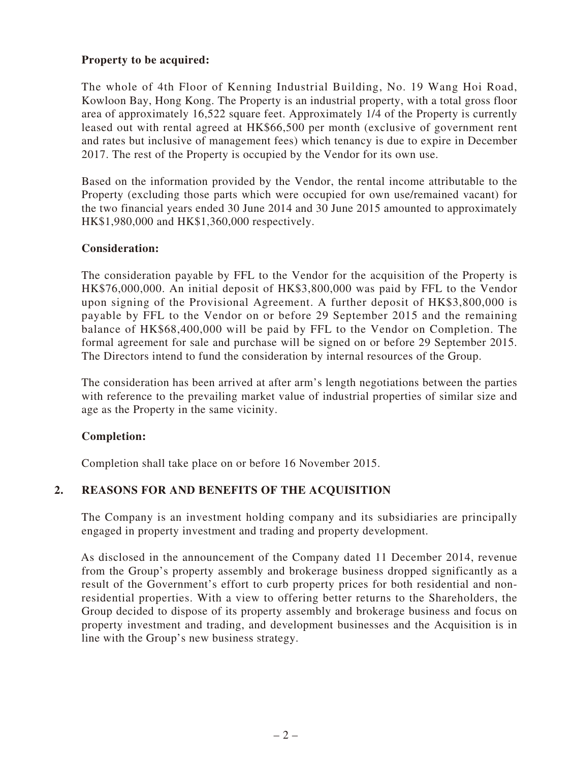# **Property to be acquired:**

The whole of 4th Floor of Kenning Industrial Building, No. 19 Wang Hoi Road, Kowloon Bay, Hong Kong. The Property is an industrial property, with a total gross floor area of approximately 16,522 square feet. Approximately 1/4 of the Property is currently leased out with rental agreed at HK\$66,500 per month (exclusive of government rent and rates but inclusive of management fees) which tenancy is due to expire in December 2017. The rest of the Property is occupied by the Vendor for its own use.

Based on the information provided by the Vendor, the rental income attributable to the Property (excluding those parts which were occupied for own use/remained vacant) for the two financial years ended 30 June 2014 and 30 June 2015 amounted to approximately HK\$1,980,000 and HK\$1,360,000 respectively.

#### **Consideration:**

The consideration payable by FFL to the Vendor for the acquisition of the Property is HK\$76,000,000. An initial deposit of HK\$3,800,000 was paid by FFL to the Vendor upon signing of the Provisional Agreement. A further deposit of HK\$3,800,000 is payable by FFL to the Vendor on or before 29 September 2015 and the remaining balance of HK\$68,400,000 will be paid by FFL to the Vendor on Completion. The formal agreement for sale and purchase will be signed on or before 29 September 2015. The Directors intend to fund the consideration by internal resources of the Group.

The consideration has been arrived at after arm's length negotiations between the parties with reference to the prevailing market value of industrial properties of similar size and age as the Property in the same vicinity.

# **Completion:**

Completion shall take place on or before 16 November 2015.

# **2. REASONS FOR AND BENEFITS OF THE ACQUISITION**

The Company is an investment holding company and its subsidiaries are principally engaged in property investment and trading and property development.

As disclosed in the announcement of the Company dated 11 December 2014, revenue from the Group's property assembly and brokerage business dropped significantly as a result of the Government's effort to curb property prices for both residential and nonresidential properties. With a view to offering better returns to the Shareholders, the Group decided to dispose of its property assembly and brokerage business and focus on property investment and trading, and development businesses and the Acquisition is in line with the Group's new business strategy.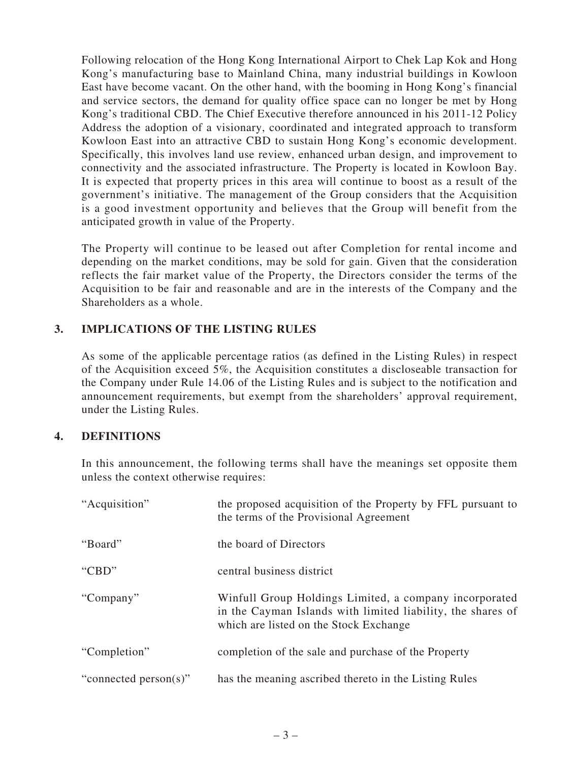Following relocation of the Hong Kong International Airport to Chek Lap Kok and Hong Kong's manufacturing base to Mainland China, many industrial buildings in Kowloon East have become vacant. On the other hand, with the booming in Hong Kong's financial and service sectors, the demand for quality office space can no longer be met by Hong Kong's traditional CBD. The Chief Executive therefore announced in his 2011-12 Policy Address the adoption of a visionary, coordinated and integrated approach to transform Kowloon East into an attractive CBD to sustain Hong Kong's economic development. Specifically, this involves land use review, enhanced urban design, and improvement to connectivity and the associated infrastructure. The Property is located in Kowloon Bay. It is expected that property prices in this area will continue to boost as a result of the government's initiative. The management of the Group considers that the Acquisition is a good investment opportunity and believes that the Group will benefit from the anticipated growth in value of the Property.

The Property will continue to be leased out after Completion for rental income and depending on the market conditions, may be sold for gain. Given that the consideration reflects the fair market value of the Property, the Directors consider the terms of the Acquisition to be fair and reasonable and are in the interests of the Company and the Shareholders as a whole.

# **3. IMPLICATIONS OF THE LISTING RULES**

As some of the applicable percentage ratios (as defined in the Listing Rules) in respect of the Acquisition exceed 5%, the Acquisition constitutes a discloseable transaction for the Company under Rule 14.06 of the Listing Rules and is subject to the notification and announcement requirements, but exempt from the shareholders' approval requirement, under the Listing Rules.

# **4. DEFINITIONS**

In this announcement, the following terms shall have the meanings set opposite them unless the context otherwise requires:

| "Acquisition"             | the proposed acquisition of the Property by FFL pursuant to<br>the terms of the Provisional Agreement                                                           |
|---------------------------|-----------------------------------------------------------------------------------------------------------------------------------------------------------------|
| "Board"                   | the board of Directors                                                                                                                                          |
| "CBD"                     | central business district                                                                                                                                       |
| "Company"                 | Winfull Group Holdings Limited, a company incorporated<br>in the Cayman Islands with limited liability, the shares of<br>which are listed on the Stock Exchange |
| "Completion"              | completion of the sale and purchase of the Property                                                                                                             |
| "connected person $(s)$ " | has the meaning ascribed thereto in the Listing Rules                                                                                                           |